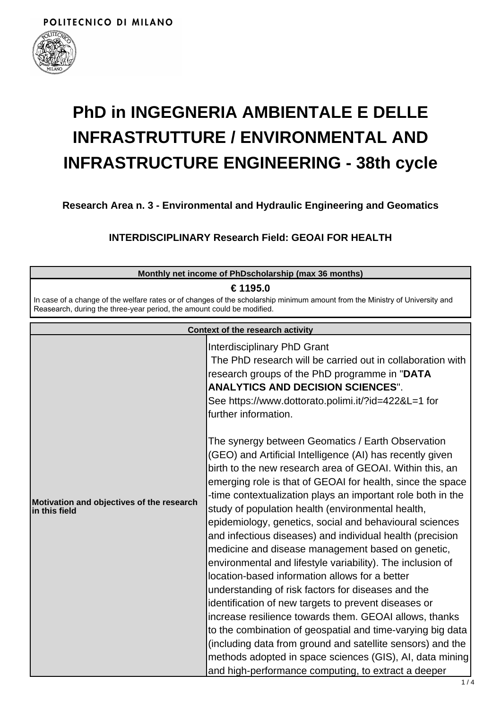

## **PhD in INGEGNERIA AMBIENTALE E DELLE INFRASTRUTTURE / ENVIRONMENTAL AND INFRASTRUCTURE ENGINEERING - 38th cycle**

**Research Area n. 3 - Environmental and Hydraulic Engineering and Geomatics**

**INTERDISCIPLINARY Research Field: GEOAI FOR HEALTH**

| Monthly net income of PhDscholarship (max 36 months)                   |                                                                                                                                                                                                                                                                                                                                                                                                                                                                                                                                                                                                                                                                                                                                                                                                                                                                                                                                                                                                                                                                                                                                                                                                                                                                                                                                                           |  |
|------------------------------------------------------------------------|-----------------------------------------------------------------------------------------------------------------------------------------------------------------------------------------------------------------------------------------------------------------------------------------------------------------------------------------------------------------------------------------------------------------------------------------------------------------------------------------------------------------------------------------------------------------------------------------------------------------------------------------------------------------------------------------------------------------------------------------------------------------------------------------------------------------------------------------------------------------------------------------------------------------------------------------------------------------------------------------------------------------------------------------------------------------------------------------------------------------------------------------------------------------------------------------------------------------------------------------------------------------------------------------------------------------------------------------------------------|--|
| Reasearch, during the three-year period, the amount could be modified. | € 1195.0<br>In case of a change of the welfare rates or of changes of the scholarship minimum amount from the Ministry of University and                                                                                                                                                                                                                                                                                                                                                                                                                                                                                                                                                                                                                                                                                                                                                                                                                                                                                                                                                                                                                                                                                                                                                                                                                  |  |
| <b>Context of the research activity</b>                                |                                                                                                                                                                                                                                                                                                                                                                                                                                                                                                                                                                                                                                                                                                                                                                                                                                                                                                                                                                                                                                                                                                                                                                                                                                                                                                                                                           |  |
| Motivation and objectives of the research<br>in this field             | Interdisciplinary PhD Grant<br>The PhD research will be carried out in collaboration with<br>research groups of the PhD programme in "DATA<br><b>ANALYTICS AND DECISION SCIENCES".</b><br>See https://www.dottorato.polimi.it/?id=422&L=1 for<br>further information.<br>The synergy between Geomatics / Earth Observation<br>(GEO) and Artificial Intelligence (AI) has recently given<br>birth to the new research area of GEOAI. Within this, an<br>emerging role is that of GEOAI for health, since the space<br>-time contextualization plays an important role both in the<br>study of population health (environmental health,<br>epidemiology, genetics, social and behavioural sciences<br>and infectious diseases) and individual health (precision<br>medicine and disease management based on genetic,<br>environmental and lifestyle variability). The inclusion of<br>location-based information allows for a better<br>understanding of risk factors for diseases and the<br>identification of new targets to prevent diseases or<br>increase resilience towards them. GEOAI allows, thanks<br>to the combination of geospatial and time-varying big data<br>(including data from ground and satellite sensors) and the<br>methods adopted in space sciences (GIS), AI, data mining<br>and high-performance computing, to extract a deeper |  |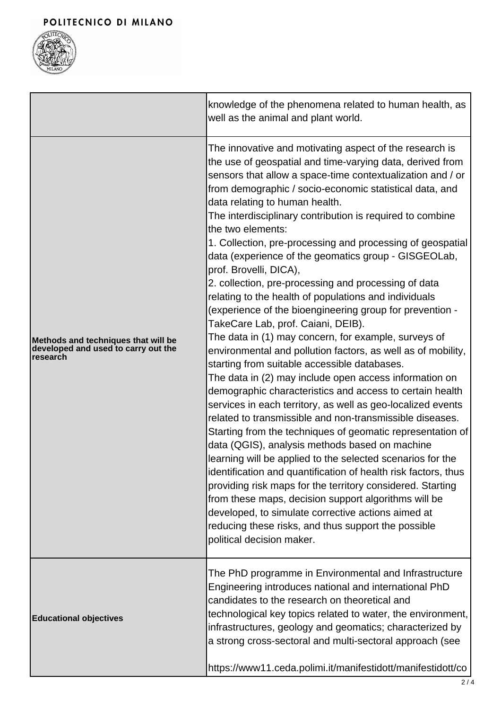

|                                                                                                | knowledge of the phenomena related to human health, as<br>well as the animal and plant world.                                                                                                                                                                                                                                                                                                                                                                                                                                                                                                                                                                                                                                                                                                                                                                                                                                                                                                                                                                                                                                                                                                                                                                                                                                                                                                                                                                                                                                                                                                                                                                                 |
|------------------------------------------------------------------------------------------------|-------------------------------------------------------------------------------------------------------------------------------------------------------------------------------------------------------------------------------------------------------------------------------------------------------------------------------------------------------------------------------------------------------------------------------------------------------------------------------------------------------------------------------------------------------------------------------------------------------------------------------------------------------------------------------------------------------------------------------------------------------------------------------------------------------------------------------------------------------------------------------------------------------------------------------------------------------------------------------------------------------------------------------------------------------------------------------------------------------------------------------------------------------------------------------------------------------------------------------------------------------------------------------------------------------------------------------------------------------------------------------------------------------------------------------------------------------------------------------------------------------------------------------------------------------------------------------------------------------------------------------------------------------------------------------|
| Methods and techniques that will be<br>developed and used to carry out the<br><b>Iresearch</b> | The innovative and motivating aspect of the research is<br>the use of geospatial and time-varying data, derived from<br>sensors that allow a space-time contextualization and / or<br>from demographic / socio-economic statistical data, and<br>data relating to human health.<br>The interdisciplinary contribution is required to combine<br>the two elements:<br>1. Collection, pre-processing and processing of geospatial<br>data (experience of the geomatics group - GISGEOLab,<br>prof. Brovelli, DICA),<br>2. collection, pre-processing and processing of data<br>relating to the health of populations and individuals<br>(experience of the bioengineering group for prevention -<br>TakeCare Lab, prof. Caiani, DEIB).<br>The data in (1) may concern, for example, surveys of<br>environmental and pollution factors, as well as of mobility,<br>starting from suitable accessible databases.<br>The data in (2) may include open access information on<br>demographic characteristics and access to certain health<br>services in each territory, as well as geo-localized events<br>related to transmissible and non-transmissible diseases.<br>Starting from the techniques of geomatic representation of<br>data (QGIS), analysis methods based on machine<br>learning will be applied to the selected scenarios for the<br>identification and quantification of health risk factors, thus<br>providing risk maps for the territory considered. Starting<br>from these maps, decision support algorithms will be<br>developed, to simulate corrective actions aimed at<br>reducing these risks, and thus support the possible<br>political decision maker. |
| <b>Educational objectives</b>                                                                  | The PhD programme in Environmental and Infrastructure<br>Engineering introduces national and international PhD<br>candidates to the research on theoretical and<br>technological key topics related to water, the environment,<br>infrastructures, geology and geomatics; characterized by<br>a strong cross-sectoral and multi-sectoral approach (see<br>https://www11.ceda.polimi.it/manifestidott/manifestidott/co                                                                                                                                                                                                                                                                                                                                                                                                                                                                                                                                                                                                                                                                                                                                                                                                                                                                                                                                                                                                                                                                                                                                                                                                                                                         |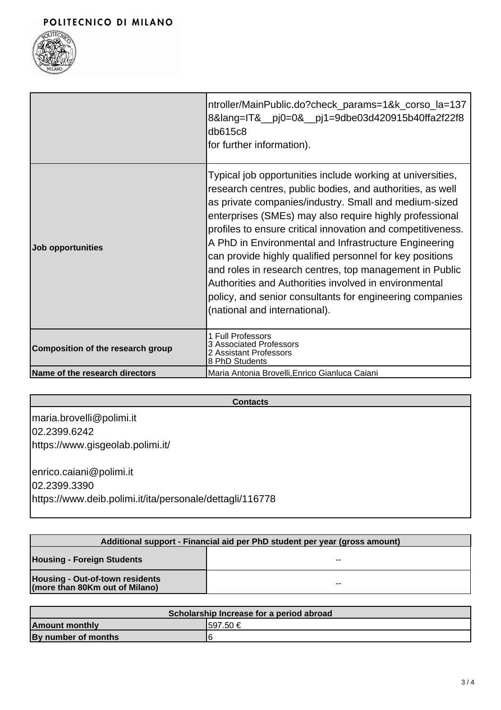

|                                   | ntroller/MainPublic.do?check_params=1&k_corso_la=137<br>8⟨=IT&_pj0=0&_pj1=9dbe03d420915b40ffa2f22f8<br>db615c8<br>for further information).                                                                                                                                                                                                                                                                                                                                                                                                                                                                                                      |
|-----------------------------------|--------------------------------------------------------------------------------------------------------------------------------------------------------------------------------------------------------------------------------------------------------------------------------------------------------------------------------------------------------------------------------------------------------------------------------------------------------------------------------------------------------------------------------------------------------------------------------------------------------------------------------------------------|
| Job opportunities                 | Typical job opportunities include working at universities,<br>research centres, public bodies, and authorities, as well<br>as private companies/industry. Small and medium-sized<br>enterprises (SMEs) may also require highly professional<br>profiles to ensure critical innovation and competitiveness.<br>A PhD in Environmental and Infrastructure Engineering<br>can provide highly qualified personnel for key positions<br>and roles in research centres, top management in Public<br>Authorities and Authorities involved in environmental<br>policy, and senior consultants for engineering companies<br>(national and international). |
| Composition of the research group | 1 Full Professors<br>3 Associated Professors<br>2 Assistant Professors<br>8 PhD Students                                                                                                                                                                                                                                                                                                                                                                                                                                                                                                                                                         |
| Name of the research directors    | Maria Antonia Brovelli, Enrico Gianluca Caiani                                                                                                                                                                                                                                                                                                                                                                                                                                                                                                                                                                                                   |

| <b>Contacts</b> |  |
|-----------------|--|
|-----------------|--|

maria.brovelli@polimi.it 02.2399.6242 https://www.gisgeolab.polimi.it/ enrico.caiani@polimi.it 02.2399.3390

https://www.deib.polimi.it/ita/personale/dettagli/116778

| Additional support - Financial aid per PhD student per year (gross amount) |       |  |
|----------------------------------------------------------------------------|-------|--|
| <b>Housing - Foreign Students</b>                                          | $- -$ |  |
| <b>Housing - Out-of-town residents</b><br>(more than 80Km out of Milano)   | $- -$ |  |

| Scholarship Increase for a period abroad |           |  |
|------------------------------------------|-----------|--|
| <b>Amount monthly</b>                    | I597.50 € |  |
| By number of months                      |           |  |